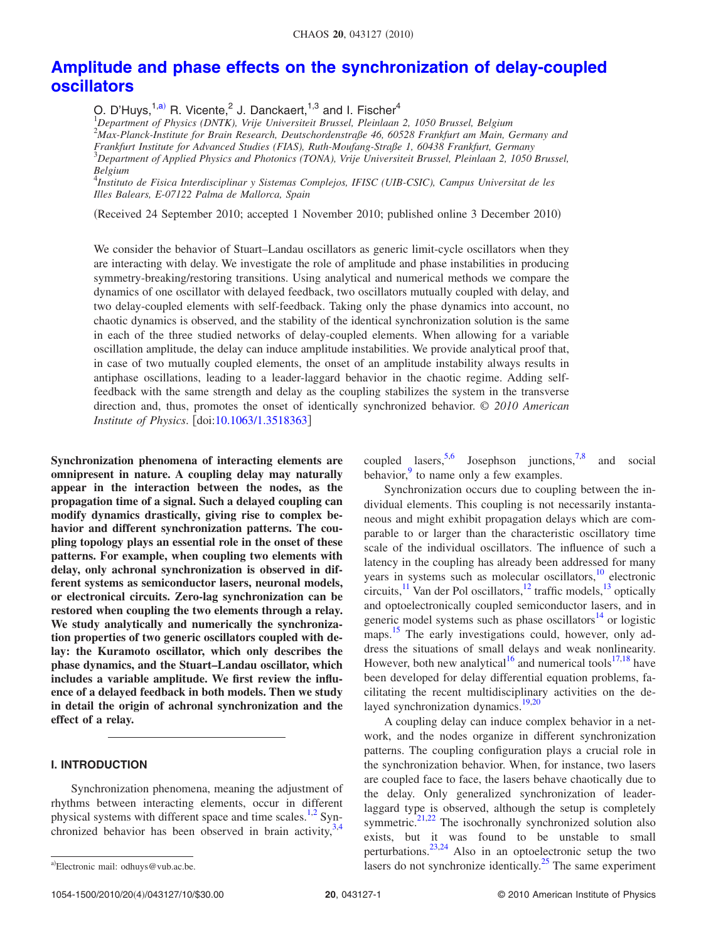# **[Amplitude and phase effects on the synchronization of delay-coupled](http://dx.doi.org/10.1063/1.3518363) [oscillators](http://dx.doi.org/10.1063/1.3518363)**

O. D'Huys,  $1, a)$  R. Vicente,  $^2$  J. Danckaert,  $1, 3$  and I. Fischer $^4$ 

1 *Department of Physics (DNTK), Vrije Universiteit Brussel, Pleinlaan 2, 1050 Brussel, Belgium* 2 *Max-Planck-Institute for Brain Research, Deutschordenstraße 46, 60528 Frankfurt am Main, Germany and Frankfurt Institute for Advanced Studies (FIAS), Ruth-Moufang-Straße 1, 60438 Frankfurt, Germany* 3 *Department of Applied Physics and Photonics (TONA), Vrije Universiteit Brussel, Pleinlaan 2, 1050 Brussel, Belgium*

4 *Instituto de Fisica Interdisciplinar y Sistemas Complejos, IFISC (UIB-CSIC), Campus Universitat de les Illes Balears, E-07122 Palma de Mallorca, Spain*

(Received 24 September 2010; accepted 1 November 2010; published online 3 December 2010)

We consider the behavior of Stuart–Landau oscillators as generic limit-cycle oscillators when they are interacting with delay. We investigate the role of amplitude and phase instabilities in producing symmetry-breaking/restoring transitions. Using analytical and numerical methods we compare the dynamics of one oscillator with delayed feedback, two oscillators mutually coupled with delay, and two delay-coupled elements with self-feedback. Taking only the phase dynamics into account, no chaotic dynamics is observed, and the stability of the identical synchronization solution is the same in each of the three studied networks of delay-coupled elements. When allowing for a variable oscillation amplitude, the delay can induce amplitude instabilities. We provide analytical proof that, in case of two mutually coupled elements, the onset of an amplitude instability always results in antiphase oscillations, leading to a leader-laggard behavior in the chaotic regime. Adding selffeedback with the same strength and delay as the coupling stabilizes the system in the transverse direction and, thus, promotes the onset of identically synchronized behavior. © *2010 American Institute of Physics.* [doi[:10.1063/1.3518363](http://dx.doi.org/10.1063/1.3518363)]

**Synchronization phenomena of interacting elements are omnipresent in nature. A coupling delay may naturally appear in the interaction between the nodes, as the propagation time of a signal. Such a delayed coupling can modify dynamics drastically, giving rise to complex behavior and different synchronization patterns. The coupling topology plays an essential role in the onset of these patterns. For example, when coupling two elements with delay, only achronal synchronization is observed in different systems as semiconductor lasers, neuronal models, or electronical circuits. Zero-lag synchronization can be restored when coupling the two elements through a relay. We study analytically and numerically the synchronization properties of two generic oscillators coupled with delay: the Kuramoto oscillator, which only describes the phase dynamics, and the Stuart–Landau oscillator, which includes a variable amplitude. We first review the influence of a delayed feedback in both models. Then we study in detail the origin of achronal synchronization and the effect of a relay.**

## **I. INTRODUCTION**

Synchronization phenomena, meaning the adjustment of rhythms between interacting elements, occur in different physical systems with different space and time scales.<sup>1[,2](#page-8-1)</sup> Synchronized behavior has been observed in brain activity,  $3,4$  $3,4$ 

coupled lasers,  $5,6$  $5,6$  Josephson junctions,  $7,8$  $7,8$  and social behavior, $\frac{9}{5}$  to name only a few examples.

Synchronization occurs due to coupling between the individual elements. This coupling is not necessarily instantaneous and might exhibit propagation delays which are comparable to or larger than the characteristic oscillatory time scale of the individual oscillators. The influence of such a latency in the coupling has already been addressed for many years in systems such as molecular oscillators,<sup>10</sup> electronic circuits,<sup>11</sup> Van der Pol oscillators,<sup>12</sup> traffic models,<sup>13</sup> optically and optoelectronically coupled semiconductor lasers, and in generic model systems such as phase oscillators $^{14}$  or logistic maps.<sup>[15](#page-8-14)</sup> The early investigations could, however, only address the situations of small delays and weak nonlinearity. However, both new analytical<sup>16</sup> and numerical tools<sup>17,[18](#page-8-17)</sup> have been developed for delay differential equation problems, facilitating the recent multidisciplinary activities on the delayed synchronization dynamics. $19,20$  $19,20$ 

A coupling delay can induce complex behavior in a network, and the nodes organize in different synchronization patterns. The coupling configuration plays a crucial role in the synchronization behavior. When, for instance, two lasers are coupled face to face, the lasers behave chaotically due to the delay. Only generalized synchronization of leaderlaggard type is observed, although the setup is completely symmetric.<sup>21,[22](#page-8-21)</sup> The isochronally synchronized solution also exists, but it was found to be unstable to small perturbations[.23](#page-8-22)[,24](#page-8-23) Also in an optoelectronic setup the two lasers do not synchronize identically.<sup>25</sup> The same experiment

<span id="page-0-0"></span>a)Electronic mail: odhuys@vub.ac.be.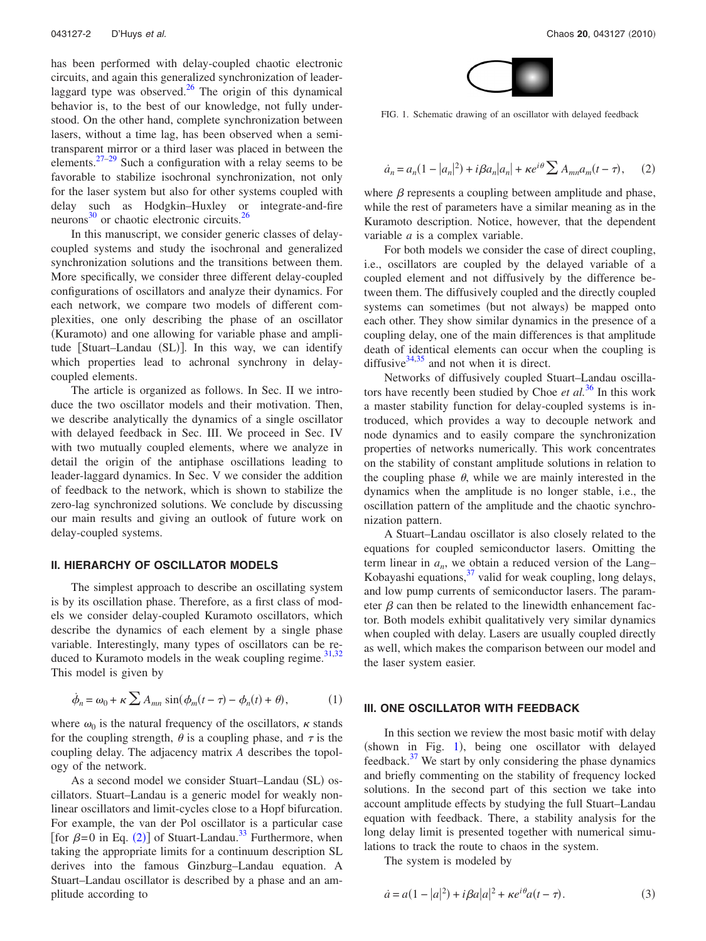has been performed with delay-coupled chaotic electronic circuits, and again this generalized synchronization of leaderlaggard type was observed.<sup>26</sup> The origin of this dynamical behavior is, to the best of our knowledge, not fully understood. On the other hand, complete synchronization between lasers, without a time lag, has been observed when a semitransparent mirror or a third laser was placed in between the elements. $27-29$  Such a configuration with a relay seems to be favorable to stabilize isochronal synchronization, not only for the laser system but also for other systems coupled with delay such as Hodgkin–Huxley or integrate-and-fire neurons<sup>[30](#page-8-28)</sup> or chaotic electronic circuits.<sup>26</sup>

In this manuscript, we consider generic classes of delaycoupled systems and study the isochronal and generalized synchronization solutions and the transitions between them. More specifically, we consider three different delay-coupled configurations of oscillators and analyze their dynamics. For each network, we compare two models of different complexities, one only describing the phase of an oscillator (Kuramoto) and one allowing for variable phase and amplitude [Stuart–Landau (SL)]. In this way, we can identify which properties lead to achronal synchrony in delaycoupled elements.

The article is organized as follows. In Sec. II we introduce the two oscillator models and their motivation. Then, we describe analytically the dynamics of a single oscillator with delayed feedback in Sec. III. We proceed in Sec. IV with two mutually coupled elements, where we analyze in detail the origin of the antiphase oscillations leading to leader-laggard dynamics. In Sec. V we consider the addition of feedback to the network, which is shown to stabilize the zero-lag synchronized solutions. We conclude by discussing our main results and giving an outlook of future work on delay-coupled systems.

## **II. HIERARCHY OF OSCILLATOR MODELS**

The simplest approach to describe an oscillating system is by its oscillation phase. Therefore, as a first class of models we consider delay-coupled Kuramoto oscillators, which describe the dynamics of each element by a single phase variable. Interestingly, many types of oscillators can be reduced to Kuramoto models in the weak coupling regime. $31,32$  $31,32$ This model is given by

$$
\dot{\phi}_n = \omega_0 + \kappa \sum A_{mn} \sin(\phi_m(t - \tau) - \phi_n(t) + \theta), \tag{1}
$$

where  $\omega_0$  is the natural frequency of the oscillators,  $\kappa$  stands for the coupling strength,  $\theta$  is a coupling phase, and  $\tau$  is the coupling delay. The adjacency matrix *A* describes the topology of the network.

As a second model we consider Stuart-Landau (SL) oscillators. Stuart–Landau is a generic model for weakly nonlinear oscillators and limit-cycles close to a Hopf bifurcation. For example, the van der Pol oscillator is a particular case [for  $\beta = 0$  in Eq. ([2](#page-1-0))] of Stuart-Landau.<sup>33</sup> Furthermore, when taking the appropriate limits for a continuum description SL derives into the famous Ginzburg–Landau equation. A Stuart–Landau oscillator is described by a phase and an amplitude according to

<span id="page-1-1"></span>

FIG. 1. Schematic drawing of an oscillator with delayed feedback

<span id="page-1-0"></span>
$$
\dot{a}_n = a_n(1 - |a_n|^2) + i\beta a_n |a_n| + \kappa e^{i\theta} \sum A_{mn} a_m(t - \tau), \quad (2)
$$

where  $\beta$  represents a coupling between amplitude and phase, while the rest of parameters have a similar meaning as in the Kuramoto description. Notice, however, that the dependent variable *a* is a complex variable.

For both models we consider the case of direct coupling, i.e., oscillators are coupled by the delayed variable of a coupled element and not diffusively by the difference between them. The diffusively coupled and the directly coupled systems can sometimes (but not always) be mapped onto each other. They show similar dynamics in the presence of a coupling delay, one of the main differences is that amplitude death of identical elements can occur when the coupling is diffusive $34,35$  $34,35$  and not when it is direct.

Networks of diffusively coupled Stuart–Landau oscillators have recently been studied by Choe *et al.*[36](#page-8-34) In this work a master stability function for delay-coupled systems is introduced, which provides a way to decouple network and node dynamics and to easily compare the synchronization properties of networks numerically. This work concentrates on the stability of constant amplitude solutions in relation to the coupling phase  $\theta$ , while we are mainly interested in the dynamics when the amplitude is no longer stable, i.e., the oscillation pattern of the amplitude and the chaotic synchronization pattern.

A Stuart–Landau oscillator is also closely related to the equations for coupled semiconductor lasers. Omitting the term linear in  $a_n$ , we obtain a reduced version of the Lang– Kobayashi equations,  $37$  valid for weak coupling, long delays, and low pump currents of semiconductor lasers. The parameter  $\beta$  can then be related to the linewidth enhancement factor. Both models exhibit qualitatively very similar dynamics when coupled with delay. Lasers are usually coupled directly as well, which makes the comparison between our model and the laser system easier.

#### **III. ONE OSCILLATOR WITH FEEDBACK**

In this section we review the most basic motif with delay (shown in Fig. [1](#page-1-1)), being one oscillator with delayed feedback[.37](#page-8-35) We start by only considering the phase dynamics and briefly commenting on the stability of frequency locked solutions. In the second part of this section we take into account amplitude effects by studying the full Stuart–Landau equation with feedback. There, a stability analysis for the long delay limit is presented together with numerical simulations to track the route to chaos in the system.

The system is modeled by

<span id="page-1-2"></span>
$$
\dot{a} = a(1 - |a|^2) + i\beta a|a|^2 + \kappa e^{i\theta} a(t - \tau). \tag{3}
$$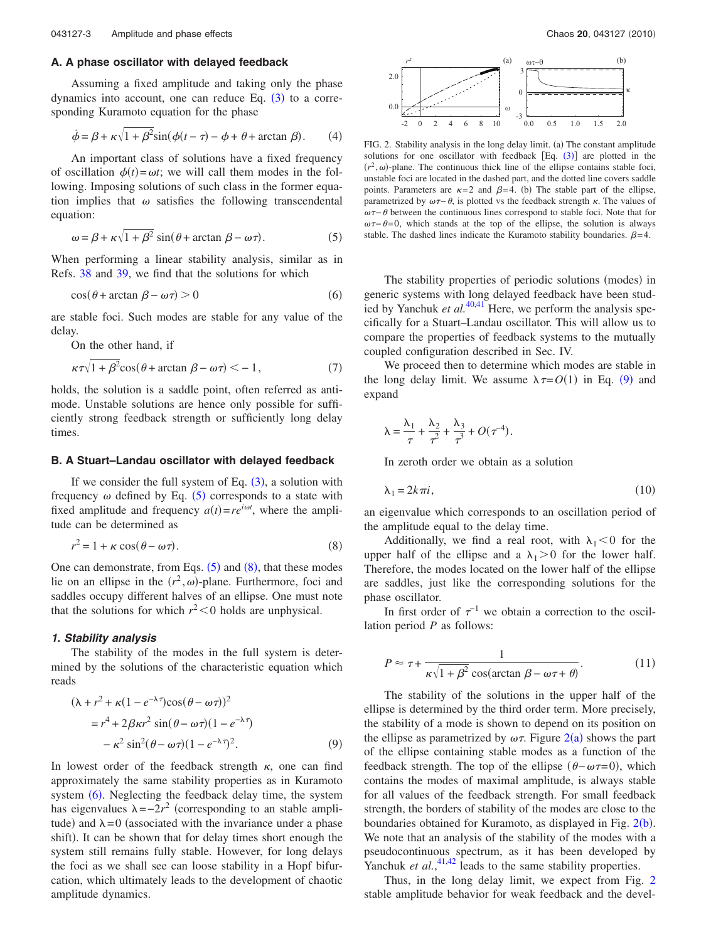#### **A. A phase oscillator with delayed feedback**

Assuming a fixed amplitude and taking only the phase dynamics into account, one can reduce Eq.  $(3)$  $(3)$  $(3)$  to a corresponding Kuramoto equation for the phase

$$
\dot{\phi} = \beta + \kappa \sqrt{1 + \beta^2} \sin(\phi(t - \tau) - \phi + \theta + \arctan \beta). \tag{4}
$$

An important class of solutions have a fixed frequency of oscillation  $\phi(t) = \omega t$ ; we will call them modes in the following. Imposing solutions of such class in the former equation implies that  $\omega$  satisfies the following transcendental equation:

<span id="page-2-0"></span>
$$
\omega = \beta + \kappa \sqrt{1 + \beta^2} \sin(\theta + \arctan \beta - \omega \tau). \tag{5}
$$

When performing a linear stability analysis, similar as in Refs. [38](#page-8-36) and [39,](#page-8-37) we find that the solutions for which

<span id="page-2-2"></span>
$$
\cos(\theta + \arctan \beta - \omega \tau) > 0 \tag{6}
$$

are stable foci. Such modes are stable for any value of the delay.

On the other hand, if

$$
\kappa \tau \sqrt{1 + \beta^2} \cos(\theta + \arctan \beta - \omega \tau) < -1,\tag{7}
$$

holds, the solution is a saddle point, often referred as antimode. Unstable solutions are hence only possible for sufficiently strong feedback strength or sufficiently long delay times.

#### **B. A Stuart–Landau oscillator with delayed feedback**

If we consider the full system of Eq.  $(3)$  $(3)$  $(3)$ , a solution with frequency  $\omega$  defined by Eq. ([5](#page-2-0)) corresponds to a state with fixed amplitude and frequency  $a(t) = re^{i\omega t}$ , where the amplitude can be determined as

<span id="page-2-1"></span>
$$
r^2 = 1 + \kappa \cos(\theta - \omega \tau). \tag{8}
$$

One can demonstrate, from Eqs.  $(5)$  $(5)$  $(5)$  and  $(8)$  $(8)$  $(8)$ , that these modes lie on an ellipse in the  $(r^2, \omega)$ -plane. Furthermore, foci and saddles occupy different halves of an ellipse. One must note that the solutions for which  $r^2 < 0$  holds are unphysical.

#### *1. Stability analysis*

The stability of the modes in the full system is determined by the solutions of the characteristic equation which reads

<span id="page-2-3"></span>
$$
(\lambda + r^2 + \kappa (1 - e^{-\lambda \tau}) \cos(\theta - \omega \tau))^2
$$
  
=  $r^4 + 2\beta \kappa r^2 \sin(\theta - \omega \tau) (1 - e^{-\lambda \tau})$   
 $- \kappa^2 \sin^2(\theta - \omega \tau) (1 - e^{-\lambda \tau})^2.$  (9)

In lowest order of the feedback strength  $\kappa$ , one can find approximately the same stability properties as in Kuramoto system  $(6)$  $(6)$  $(6)$ . Neglecting the feedback delay time, the system has eigenvalues  $\lambda = -2r^2$  (corresponding to an stable amplitude) and  $\lambda = 0$  (associated with the invariance under a phase shift). It can be shown that for delay times short enough the system still remains fully stable. However, for long delays the foci as we shall see can loose stability in a Hopf bifurcation, which ultimately leads to the development of chaotic amplitude dynamics.

<span id="page-2-4"></span>

FIG. 2. Stability analysis in the long delay limit. (a) The constant amplitude solutions for one oscillator with feedback  $[Eq. (3)]$  $[Eq. (3)]$  $[Eq. (3)]$  are plotted in the  $(r^2, \omega)$ -plane. The continuous thick line of the ellipse contains stable foci, unstable foci are located in the dashed part, and the dotted line covers saddle points. Parameters are  $\kappa = 2$  and  $\beta = 4$ . (b) The stable part of the ellipse, parametrized by  $\omega \tau - \theta$ , is plotted vs the feedback strength  $\kappa$ . The values of  $\omega \tau - \theta$  between the continuous lines correspond to stable foci. Note that for  $\omega \tau - \theta = 0$ , which stands at the top of the ellipse, the solution is always stable. The dashed lines indicate the Kuramoto stability boundaries.  $\beta = 4$ .

The stability properties of periodic solutions (modes) in generic systems with long delayed feedback have been studied by Yanchuk *et al.*<sup>[40](#page-8-38)[,41](#page-8-39)</sup> Here, we perform the analysis specifically for a Stuart–Landau oscillator. This will allow us to compare the properties of feedback systems to the mutually coupled configuration described in Sec. IV.

We proceed then to determine which modes are stable in the long delay limit. We assume  $\lambda \tau = O(1)$  in Eq. ([9](#page-2-3)) and expand

$$
\lambda = \frac{\lambda_1}{\tau} + \frac{\lambda_2}{\tau^2} + \frac{\lambda_3}{\tau^3} + O(\tau^{-4}).
$$

In zeroth order we obtain as a solution

<span id="page-2-5"></span>
$$
\lambda_1 = 2k\pi i,\tag{10}
$$

an eigenvalue which corresponds to an oscillation period of the amplitude equal to the delay time.

Additionally, we find a real root, with  $\lambda_1 < 0$  for the upper half of the ellipse and a  $\lambda_1 > 0$  for the lower half. Therefore, the modes located on the lower half of the ellipse are saddles, just like the corresponding solutions for the phase oscillator.

In first order of  $\tau^{-1}$  we obtain a correction to the oscillation period *P* as follows:

<span id="page-2-6"></span>
$$
P \approx \tau + \frac{1}{\kappa \sqrt{1 + \beta^2} \cos(\arctan \beta - \omega \tau + \theta)}.
$$
 (11)

The stability of the solutions in the upper half of the ellipse is determined by the third order term. More precisely, the stability of a mode is shown to depend on its position on the ellipse as parametrized by  $\omega\tau$ . Figure [2](#page-2-4)(a) shows the part of the ellipse containing stable modes as a function of the feedback strength. The top of the ellipse  $(\theta - \omega \tau = 0)$ , which contains the modes of maximal amplitude, is always stable for all values of the feedback strength. For small feedback strength, the borders of stability of the modes are close to the boundaries obtained for Kuramoto, as displayed in Fig. [2](#page-2-4)(b). We note that an analysis of the stability of the modes with a pseudocontinuous spectrum, as it has been developed by Yanchuk *et al.*<sup>[41,](#page-8-39)[42](#page-8-40)</sup> leads to the same stability properties.

Thus, in the long delay limit, we expect from Fig. [2](#page-2-4) stable amplitude behavior for weak feedback and the devel-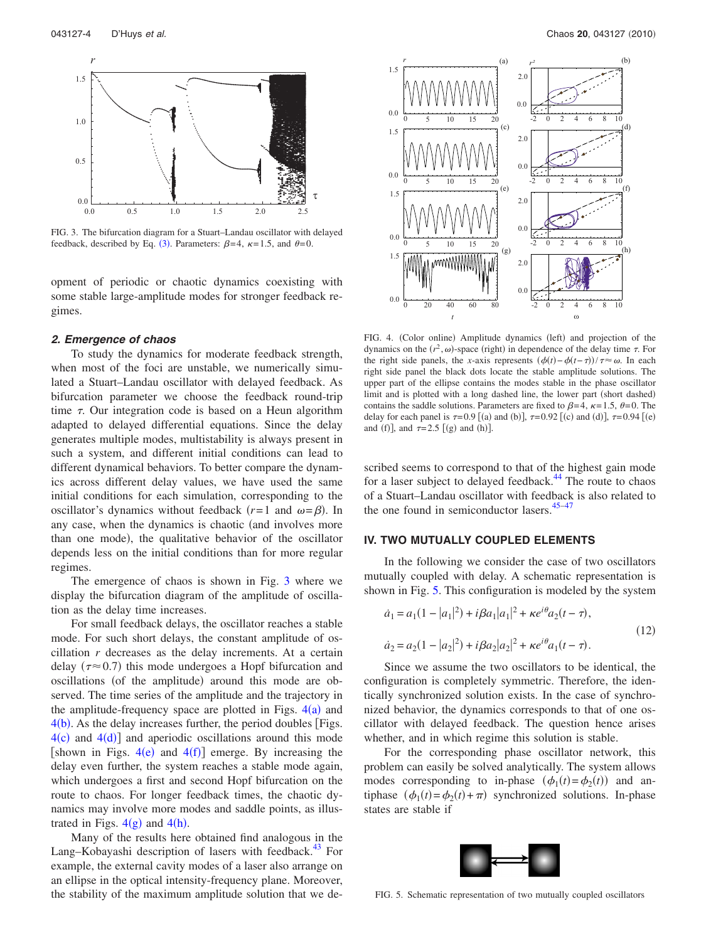<span id="page-3-0"></span>

FIG. 3. The bifurcation diagram for a Stuart–Landau oscillator with delayed feedback, described by Eq. ([3](#page-1-2)). Parameters:  $\beta = 4$ ,  $\kappa = 1.5$ , and  $\theta = 0$ .

opment of periodic or chaotic dynamics coexisting with some stable large-amplitude modes for stronger feedback regimes.

#### *2. Emergence of chaos*

To study the dynamics for moderate feedback strength, when most of the foci are unstable, we numerically simulated a Stuart–Landau oscillator with delayed feedback. As bifurcation parameter we choose the feedback round-trip time  $\tau$ . Our integration code is based on a Heun algorithm adapted to delayed differential equations. Since the delay generates multiple modes, multistability is always present in such a system, and different initial conditions can lead to different dynamical behaviors. To better compare the dynamics across different delay values, we have used the same initial conditions for each simulation, corresponding to the oscillator's dynamics without feedback  $(r=1$  and  $\omega = \beta$ ). In any case, when the dynamics is chaotic (and involves more than one mode, the qualitative behavior of the oscillator depends less on the initial conditions than for more regular regimes.

The emergence of chaos is shown in Fig. [3](#page-3-0) where we display the bifurcation diagram of the amplitude of oscillation as the delay time increases.

For small feedback delays, the oscillator reaches a stable mode. For such short delays, the constant amplitude of oscillation *r* decreases as the delay increments. At a certain delay ( $\tau \approx 0.7$ ) this mode undergoes a Hopf bifurcation and oscillations (of the amplitude) around this mode are observed. The time series of the amplitude and the trajectory in the amplitude-frequency space are plotted in Figs.  $4(a)$  $4(a)$  and  $4(b)$  $4(b)$ . As the delay increases further, the period doubles [Figs.  $4(c)$  $4(c)$  and  $4(d)$ ] and aperiodic oscillations around this mode [shown in Figs.  $4(e)$  $4(e)$  and  $4(f)$ ] emerge. By increasing the delay even further, the system reaches a stable mode again, which undergoes a first and second Hopf bifurcation on the route to chaos. For longer feedback times, the chaotic dynamics may involve more modes and saddle points, as illustrated in Figs.  $4(g)$  $4(g)$  and  $4(h)$ .

Many of the results here obtained find analogous in the Lang–Kobayashi description of lasers with feedback. $43$  For example, the external cavity modes of a laser also arrange on an ellipse in the optical intensity-frequency plane. Moreover, the stability of the maximum amplitude solution that we de-

<span id="page-3-1"></span>

FIG. 4. (Color online) Amplitude dynamics (left) and projection of the dynamics on the  $(r^2, \omega)$ -space (right) in dependence of the delay time  $\tau$ . For the right side panels, the *x*-axis represents  $(\phi(t) - \phi(t-\tau))/\tau \approx \omega$ . In each right side panel the black dots locate the stable amplitude solutions. The upper part of the ellipse contains the modes stable in the phase oscillator limit and is plotted with a long dashed line, the lower part (short dashed) contains the saddle solutions. Parameters are fixed to  $\beta = 4$ ,  $\kappa = 1.5$ ,  $\theta = 0$ . The delay for each panel is  $\tau = 0.9$  [(a) and (b)],  $\tau = 0.92$  [(c) and (d)],  $\tau = 0.94$  [(e) and (f)], and  $\tau = 2.5$  [(g) and (h)].

scribed seems to correspond to that of the highest gain mode for a laser subject to delayed feedback.<sup>44</sup> The route to chaos of a Stuart–Landau oscillator with feedback is also related to the one found in semiconductor lasers. $45-47$  $45-47$ 

## **IV. TWO MUTUALLY COUPLED ELEMENTS**

In the following we consider the case of two oscillators mutually coupled with delay. A schematic representation is shown in Fig. [5.](#page-3-2) This configuration is modeled by the system

$$
\dot{a}_1 = a_1(1 - |a_1|^2) + i\beta a_1|a_1|^2 + \kappa e^{i\theta} a_2(t - \tau),
$$
  
\n
$$
\dot{a}_2 = a_2(1 - |a_2|^2) + i\beta a_2|a_2|^2 + \kappa e^{i\theta} a_1(t - \tau).
$$
\n(12)

Since we assume the two oscillators to be identical, the configuration is completely symmetric. Therefore, the identically synchronized solution exists. In the case of synchronized behavior, the dynamics corresponds to that of one oscillator with delayed feedback. The question hence arises whether, and in which regime this solution is stable.

For the corresponding phase oscillator network, this problem can easily be solved analytically. The system allows modes corresponding to in-phase  $(\phi_1(t) = \phi_2(t))$  and antiphase  $(\phi_1(t) = \phi_2(t) + \pi)$  synchronized solutions. In-phase states are stable if



<span id="page-3-2"></span>FIG. 5. Schematic representation of two mutually coupled oscillators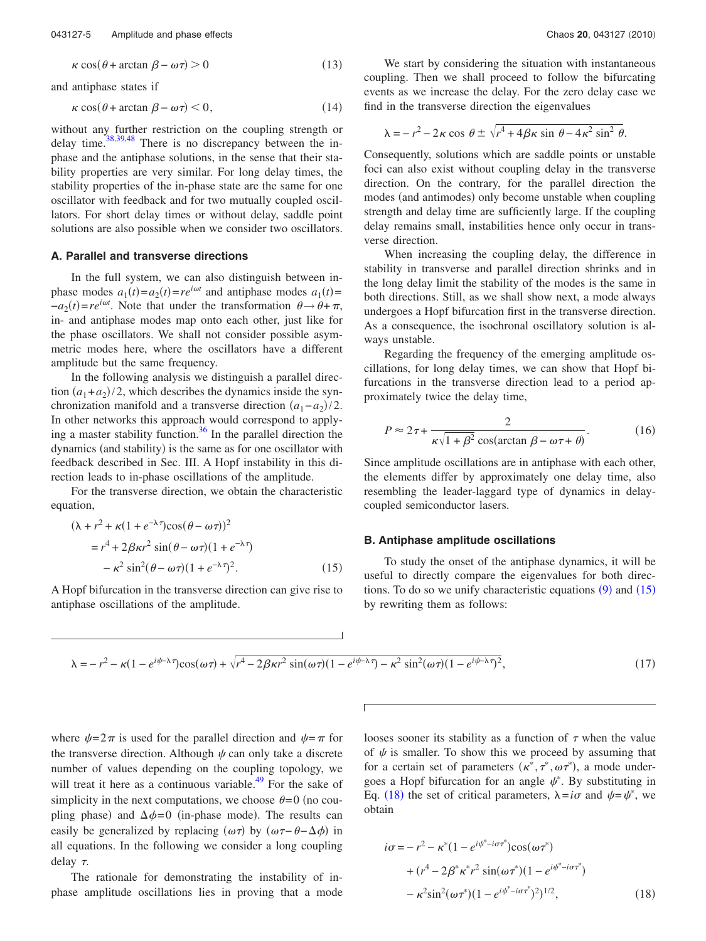<span id="page-4-3"></span>
$$
\kappa \cos(\theta + \arctan \beta - \omega \tau) > 0 \tag{13}
$$

<span id="page-4-4"></span>and antiphase states if

$$
\kappa \cos(\theta + \arctan \beta - \omega \tau) < 0,\tag{14}
$$

without any further restriction on the coupling strength or delay time.<sup>38[,39,](#page-8-37)[48](#page-9-1)</sup> There is no discrepancy between the inphase and the antiphase solutions, in the sense that their stability properties are very similar. For long delay times, the stability properties of the in-phase state are the same for one oscillator with feedback and for two mutually coupled oscillators. For short delay times or without delay, saddle point solutions are also possible when we consider two oscillators.

#### **A. Parallel and transverse directions**

In the full system, we can also distinguish between inphase modes  $a_1(t) = a_2(t) = re^{i\omega t}$  and antiphase modes  $a_1(t) =$  $-a_2(t) = re^{i\omega t}$ . Note that under the transformation  $\theta \rightarrow \theta + \pi$ , in- and antiphase modes map onto each other, just like for the phase oscillators. We shall not consider possible asymmetric modes here, where the oscillators have a different amplitude but the same frequency.

In the following analysis we distinguish a parallel direction  $(a_1 + a_2)/2$ , which describes the dynamics inside the synchronization manifold and a transverse direction  $(a_1 - a_2)/2$ . In other networks this approach would correspond to applying a master stability function.<sup>36</sup> In the parallel direction the dynamics (and stability) is the same as for one oscillator with feedback described in Sec. III. A Hopf instability in this direction leads to in-phase oscillations of the amplitude.

For the transverse direction, we obtain the characteristic equation,

<span id="page-4-0"></span>
$$
(\lambda + r^2 + \kappa (1 + e^{-\lambda \tau}) \cos(\theta - \omega \tau))^2
$$
  
=  $r^4 + 2\beta \kappa r^2 \sin(\theta - \omega \tau) (1 + e^{-\lambda \tau})$   
 $- \kappa^2 \sin^2(\theta - \omega \tau) (1 + e^{-\lambda \tau})^2.$  (15)

A Hopf bifurcation in the transverse direction can give rise to antiphase oscillations of the amplitude.

We start by considering the situation with instantaneous coupling. Then we shall proceed to follow the bifurcating events as we increase the delay. For the zero delay case we find in the transverse direction the eigenvalues

$$
\lambda = -r^2 - 2\kappa \cos \theta \pm \sqrt{r^4 + 4\beta\kappa \sin \theta - 4\kappa^2 \sin^2 \theta}.
$$

Consequently, solutions which are saddle points or unstable foci can also exist without coupling delay in the transverse direction. On the contrary, for the parallel direction the modes (and antimodes) only become unstable when coupling strength and delay time are sufficiently large. If the coupling delay remains small, instabilities hence only occur in transverse direction.

When increasing the coupling delay, the difference in stability in transverse and parallel direction shrinks and in the long delay limit the stability of the modes is the same in both directions. Still, as we shall show next, a mode always undergoes a Hopf bifurcation first in the transverse direction. As a consequence, the isochronal oscillatory solution is always unstable.

Regarding the frequency of the emerging amplitude oscillations, for long delay times, we can show that Hopf bifurcations in the transverse direction lead to a period approximately twice the delay time,

<span id="page-4-2"></span>
$$
P \approx 2\tau + \frac{2}{\kappa\sqrt{1+\beta^2}\cos(\arctan\beta - \omega\tau + \theta)}.\tag{16}
$$

Since amplitude oscillations are in antiphase with each other, the elements differ by approximately one delay time, also resembling the leader-laggard type of dynamics in delaycoupled semiconductor lasers.

#### **B. Antiphase amplitude oscillations**

To study the onset of the antiphase dynamics, it will be useful to directly compare the eigenvalues for both directions. To do so we unify characteristic equations  $(9)$  $(9)$  $(9)$  and  $(15)$  $(15)$  $(15)$ by rewriting them as follows:

$$
\lambda = -r^2 - \kappa (1 - e^{i\psi - \lambda \tau}) \cos(\omega \tau) + \sqrt{r^4 - 2\beta \kappa r^2 \sin(\omega \tau) (1 - e^{i\psi - \lambda \tau}) - \kappa^2 \sin^2(\omega \tau) (1 - e^{i\psi - \lambda \tau})^2},\tag{17}
$$

where  $\psi = 2\pi$  is used for the parallel direction and  $\psi = \pi$  for the transverse direction. Although  $\psi$  can only take a discrete number of values depending on the coupling topology, we will treat it here as a continuous variable.<sup>49</sup> For the sake of simplicity in the next computations, we choose  $\theta = 0$  (no coupling phase) and  $\Delta \phi = 0$  (in-phase mode). The results can easily be generalized by replacing  $(\omega \tau)$  by  $(\omega \tau - \theta - \Delta \phi)$  in all equations. In the following we consider a long coupling delay  $\tau$ .

The rationale for demonstrating the instability of inphase amplitude oscillations lies in proving that a mode looses sooner its stability as a function of  $\tau$  when the value of  $\psi$  is smaller. To show this we proceed by assuming that for a certain set of parameters  $(\kappa^*, \tau^*, \omega \tau^*)$ , a mode undergoes a Hopf bifurcation for an angle  $\psi^*$ . By substituting in Eq. ([18](#page-4-1)) the set of critical parameters,  $\lambda = i\sigma$  and  $\psi = \psi^*$ , we obtain

<span id="page-4-1"></span>
$$
i\sigma = -r^2 - \kappa^* (1 - e^{i\psi^* - i\sigma \tau^*}) \cos(\omega \tau^*)
$$
  
+ 
$$
(r^4 - 2\beta^* \kappa^* r^2 \sin(\omega \tau^*) (1 - e^{i\psi^* - i\sigma \tau^*})
$$
  
- 
$$
\kappa^2 \sin^2(\omega \tau^*) (1 - e^{i\psi^* - i\sigma \tau^*})^2)^{1/2},
$$
 (18)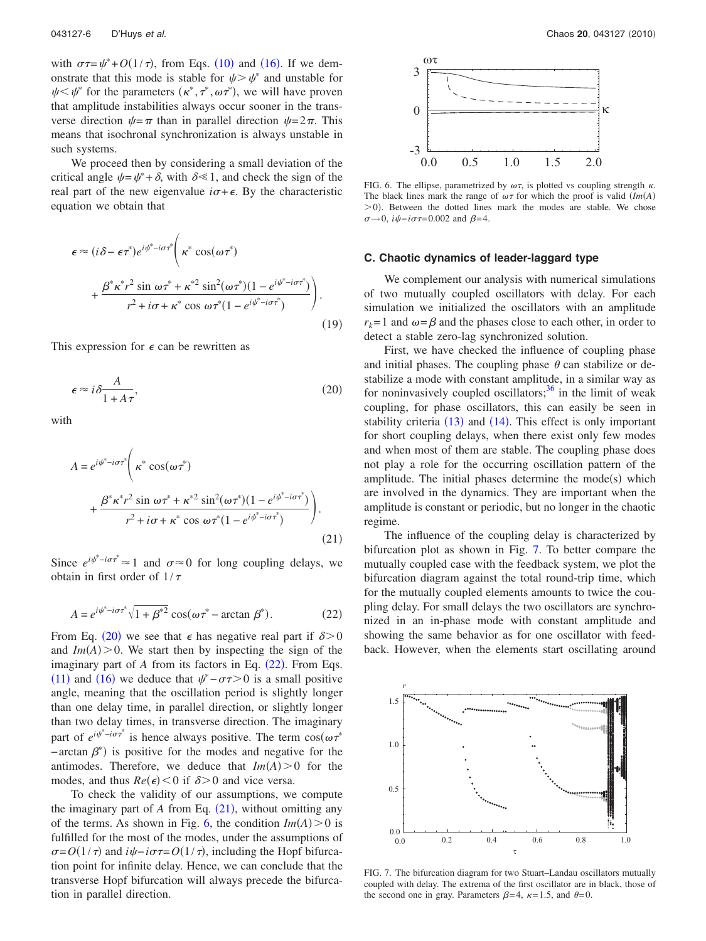with  $\sigma \tau = \psi^* + O(1/\tau)$ , from Eqs. ([10](#page-2-5)) and ([16](#page-4-2)). If we demonstrate that this mode is stable for  $\psi > \psi^*$  and unstable for  $\psi \leq \psi^*$  for the parameters  $(\kappa^*, \tau^*, \omega \tau^*)$ , we will have proven that amplitude instabilities always occur sooner in the transverse direction  $\psi = \pi$  than in parallel direction  $\psi = 2\pi$ . This means that isochronal synchronization is always unstable in such systems.

We proceed then by considering a small deviation of the critical angle  $\psi = \psi^* + \delta$ , with  $\delta \ll 1$ , and check the sign of the real part of the new eigenvalue  $i\sigma + \epsilon$ . By the characteristic equation we obtain that

$$
\epsilon \approx (i\delta - \epsilon \tau^*) e^{i\psi^* - i\sigma \tau^*} \left( \kappa^* \cos(\omega \tau^*) + \frac{\beta^* \kappa^* r^2 \sin \omega \tau^* + \kappa^{*2} \sin^2(\omega \tau^*) (1 - e^{i\psi^* - i\sigma \tau^*})}{r^2 + i\sigma + \kappa^* \cos \omega \tau^* (1 - e^{i\psi^* - i\sigma \tau^*})} \right).
$$
\n(19)

This expression for  $\epsilon$  can be rewritten as

<span id="page-5-0"></span>
$$
\epsilon \approx i\delta \frac{A}{1+A\tau},\tag{20}
$$

with

<span id="page-5-2"></span>
$$
A = e^{i\psi^* - i\sigma\tau^*} \left( \kappa^* \cos(\omega \tau^*)
$$
  
+ 
$$
\frac{\beta^* \kappa^* r^2 \sin \omega \tau^* + \kappa^{*2} \sin^2(\omega \tau^*) (1 - e^{i\psi^* - i\sigma\tau^*})}{r^2 + i\sigma + \kappa^* \cos \omega \tau^* (1 - e^{i\psi^* - i\sigma\tau^*})} \right).
$$
(21)

Since  $e^{i\psi^* - i\sigma \tau^*} \approx 1$  and  $\sigma \approx 0$  for long coupling delays, we obtain in first order of  $1/\tau$ 

<span id="page-5-1"></span>
$$
A = e^{i\psi^* - i\sigma \tau^*} \sqrt{1 + \beta^{*2}} \cos(\omega \tau^* - \arctan \beta^*).
$$
 (22)

From Eq. ([20](#page-5-0)) we see that  $\epsilon$  has negative real part if  $\delta$  > 0 and  $Im(A) > 0$ . We start then by inspecting the sign of the imaginary part of *A* from its factors in Eq. ([22](#page-5-1)). From Eqs. ([11](#page-2-6)) and ([16](#page-4-2)) we deduce that  $\psi^*$  –  $\sigma \tau$  > 0 is a small positive angle, meaning that the oscillation period is slightly longer than one delay time, in parallel direction, or slightly longer than two delay times, in transverse direction. The imaginary part of  $e^{i\psi^* - i\sigma\tau^*}$  is hence always positive. The term  $\cos(\omega\tau^*)$  $-\arctan \beta^*$  is positive for the modes and negative for the antimodes. Therefore, we deduce that  $Im(A) > 0$  for the modes, and thus  $Re(\epsilon)$  < 0 if  $\delta$  > 0 and vice versa.

To check the validity of our assumptions, we compute the imaginary part of  $A$  from Eq.  $(21)$  $(21)$  $(21)$ , without omitting any of the terms. As shown in Fig. [6,](#page-5-3) the condition  $Im(A) > 0$  is fulfilled for the most of the modes, under the assumptions of  $\sigma = O(1/\tau)$  and  $i\psi - i\sigma\tau = O(1/\tau)$ , including the Hopf bifurcation point for infinite delay. Hence, we can conclude that the transverse Hopf bifurcation will always precede the bifurcation in parallel direction.

<span id="page-5-3"></span>

FIG. 6. The ellipse, parametrized by  $\omega\tau$ , is plotted vs coupling strength  $\kappa$ . The black lines mark the range of  $\omega \tau$  for which the proof is valid  $(Im(A))$  $(0.00)$ . Between the dotted lines mark the modes are stable. We chose  $\sigma \rightarrow 0$ ,  $i\psi - i\sigma\tau = 0.002$  and  $\beta = 4$ .

#### **C. Chaotic dynamics of leader-laggard type**

We complement our analysis with numerical simulations of two mutually coupled oscillators with delay. For each simulation we initialized the oscillators with an amplitude  $r_k = 1$  and  $\omega = \beta$  and the phases close to each other, in order to detect a stable zero-lag synchronized solution.

First, we have checked the influence of coupling phase and initial phases. The coupling phase  $\theta$  can stabilize or destabilize a mode with constant amplitude, in a similar way as for noninvasively coupled oscillators; $36$  in the limit of weak coupling, for phase oscillators, this can easily be seen in stability criteria  $(13)$  $(13)$  $(13)$  and  $(14)$  $(14)$  $(14)$ . This effect is only important for short coupling delays, when there exist only few modes and when most of them are stable. The coupling phase does not play a role for the occurring oscillation pattern of the amplitude. The initial phases determine the mode(s) which are involved in the dynamics. They are important when the amplitude is constant or periodic, but no longer in the chaotic regime.

The influence of the coupling delay is characterized by bifurcation plot as shown in Fig. [7.](#page-5-4) To better compare the mutually coupled case with the feedback system, we plot the bifurcation diagram against the total round-trip time, which for the mutually coupled elements amounts to twice the coupling delay. For small delays the two oscillators are synchronized in an in-phase mode with constant amplitude and showing the same behavior as for one oscillator with feedback. However, when the elements start oscillating around

<span id="page-5-4"></span>

FIG. 7. The bifurcation diagram for two Stuart–Landau oscillators mutually coupled with delay. The extrema of the first oscillator are in black, those of the second one in gray. Parameters  $\beta = 4$ ,  $\kappa = 1.5$ , and  $\theta = 0$ .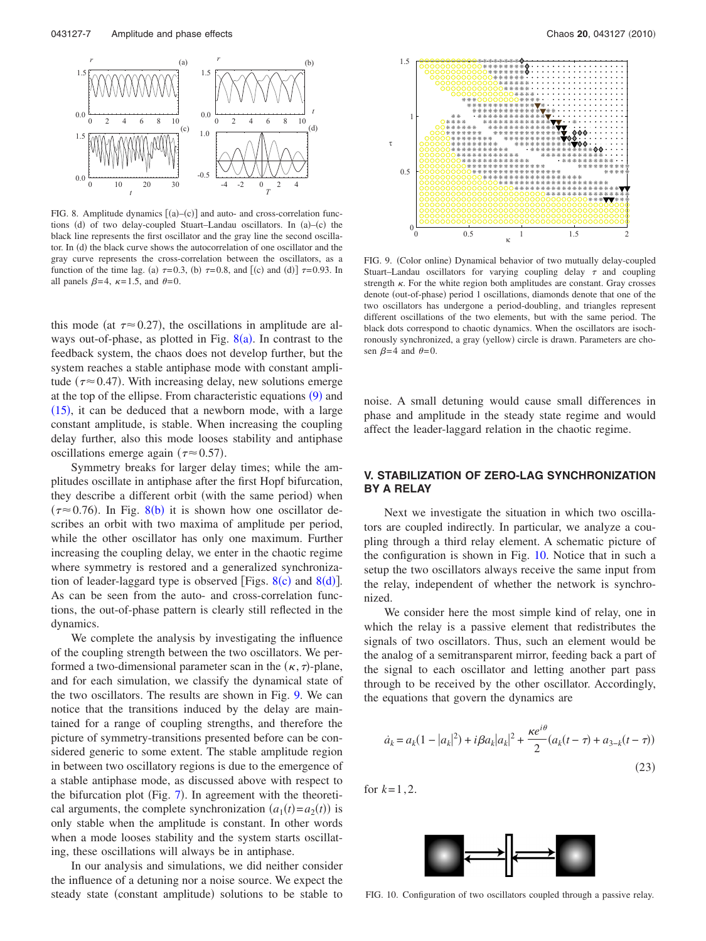<span id="page-6-0"></span>

FIG. 8. Amplitude dynamics  $[(a)-(c)]$  and auto- and cross-correlation functions (d) of two delay-coupled Stuart–Landau oscillators. In (a)–(c) the black line represents the first oscillator and the gray line the second oscillator. In (d) the black curve shows the autocorrelation of one oscillator and the gray curve represents the cross-correlation between the oscillators, as a function of the time lag. (a)  $\tau=0.3$ , (b)  $\tau=0.8$ , and [(c) and (d)]  $\tau=0.93$ . In all panels  $\beta = 4$ ,  $\kappa = 1.5$ , and  $\theta = 0$ .

this mode (at  $\tau \approx 0.27$ ), the oscillations in amplitude are always out-of-phase, as plotted in Fig.  $8(a)$  $8(a)$ . In contrast to the feedback system, the chaos does not develop further, but the system reaches a stable antiphase mode with constant amplitude ( $\tau \approx 0.47$ ). With increasing delay, new solutions emerge at the top of the ellipse. From characteristic equations ([9](#page-2-3)) and  $(15)$  $(15)$  $(15)$ , it can be deduced that a newborn mode, with a large constant amplitude, is stable. When increasing the coupling delay further, also this mode looses stability and antiphase oscillations emerge again ( $\tau \approx 0.57$ ).

Symmetry breaks for larger delay times; while the amplitudes oscillate in antiphase after the first Hopf bifurcation, they describe a different orbit (with the same period) when  $(\tau \approx 0.76)$ . In Fig. [8](#page-6-0)(b) it is shown how one oscillator describes an orbit with two maxima of amplitude per period, while the other oscillator has only one maximum. Further increasing the coupling delay, we enter in the chaotic regime where symmetry is restored and a generalized synchronization of leader-laggard type is observed [Figs.  $8(c)$  $8(c)$  and  $8(d)$ ]. As can be seen from the auto- and cross-correlation functions, the out-of-phase pattern is clearly still reflected in the dynamics.

We complete the analysis by investigating the influence of the coupling strength between the two oscillators. We performed a two-dimensional parameter scan in the  $(\kappa, \tau)$ -plane, and for each simulation, we classify the dynamical state of the two oscillators. The results are shown in Fig. [9.](#page-6-1) We can notice that the transitions induced by the delay are maintained for a range of coupling strengths, and therefore the picture of symmetry-transitions presented before can be considered generic to some extent. The stable amplitude region in between two oscillatory regions is due to the emergence of a stable antiphase mode, as discussed above with respect to the bifurcation plot (Fig. [7](#page-5-4)). In agreement with the theoretical arguments, the complete synchronization  $(a_1(t) = a_2(t))$  is only stable when the amplitude is constant. In other words when a mode looses stability and the system starts oscillating, these oscillations will always be in antiphase.

In our analysis and simulations, we did neither consider the influence of a detuning nor a noise source. We expect the steady state (constant amplitude) solutions to be stable to

<span id="page-6-1"></span>

FIG. 9. (Color online) Dynamical behavior of two mutually delay-coupled Stuart–Landau oscillators for varying coupling delay  $\tau$  and coupling strength  $\kappa$ . For the white region both amplitudes are constant. Gray crosses denote (out-of-phase) period 1 oscillations, diamonds denote that one of the two oscillators has undergone a period-doubling, and triangles represent different oscillations of the two elements, but with the same period. The black dots correspond to chaotic dynamics. When the oscillators are isochronously synchronized, a gray (yellow) circle is drawn. Parameters are chosen  $\beta = 4$  and  $\theta = 0$ .

noise. A small detuning would cause small differences in phase and amplitude in the steady state regime and would affect the leader-laggard relation in the chaotic regime.

## **V. STABILIZATION OF ZERO-LAG SYNCHRONIZATION BY A RELAY**

Next we investigate the situation in which two oscillators are coupled indirectly. In particular, we analyze a coupling through a third relay element. A schematic picture of the configuration is shown in Fig. [10.](#page-6-2) Notice that in such a setup the two oscillators always receive the same input from the relay, independent of whether the network is synchronized.

We consider here the most simple kind of relay, one in which the relay is a passive element that redistributes the signals of two oscillators. Thus, such an element would be the analog of a semitransparent mirror, feeding back a part of the signal to each oscillator and letting another part pass through to be received by the other oscillator. Accordingly, the equations that govern the dynamics are

<span id="page-6-3"></span>
$$
\dot{a}_k = a_k(1 - |a_k|^2) + i\beta a_k |a_k|^2 + \frac{\kappa e^{i\theta}}{2} (a_k(t - \tau) + a_{3-k}(t - \tau))
$$
\n(23)

<span id="page-6-2"></span>for  $k=1,2$ .



FIG. 10. Configuration of two oscillators coupled through a passive relay.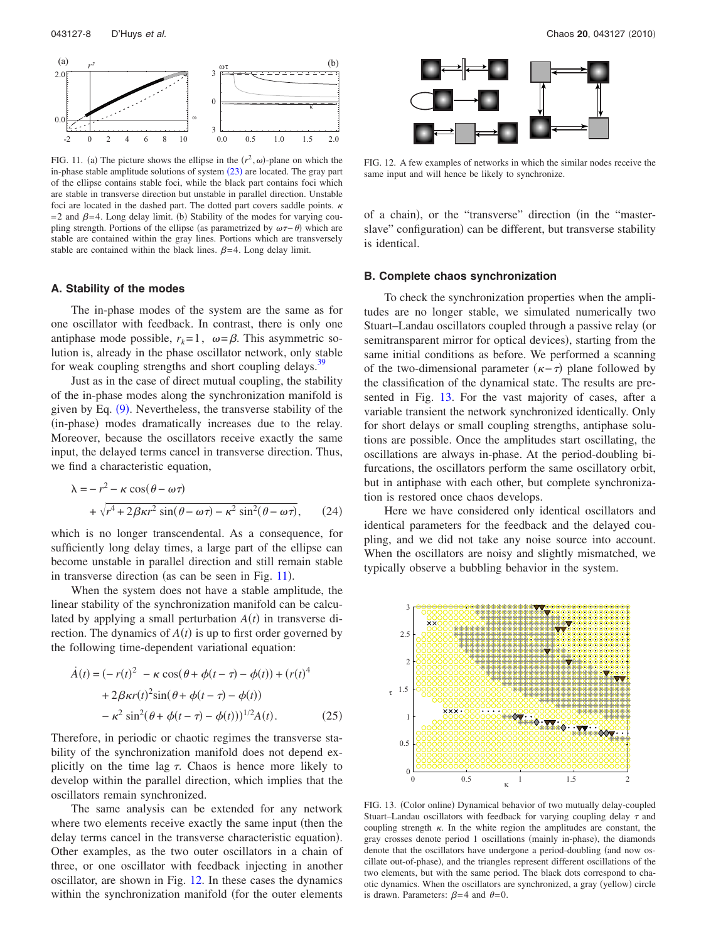<span id="page-7-0"></span>

FIG. 11. (a) The picture shows the ellipse in the  $(r^2, \omega)$ -plane on which the in-phase stable amplitude solutions of system  $(23)$  $(23)$  $(23)$  are located. The gray part of the ellipse contains stable foci, while the black part contains foci which are stable in transverse direction but unstable in parallel direction. Unstable foci are located in the dashed part. The dotted part covers saddle points.  $\kappa$  $=$  2 and  $\beta$  = 4. Long delay limit. (b) Stability of the modes for varying coupling strength. Portions of the ellipse (as parametrized by  $\omega \tau - \theta$ ) which are stable are contained within the gray lines. Portions which are transversely stable are contained within the black lines.  $\beta$ =4. Long delay limit.

#### **A. Stability of the modes**

The in-phase modes of the system are the same as for one oscillator with feedback. In contrast, there is only one antiphase mode possible,  $r_k = 1$ ,  $\omega = \beta$ . This asymmetric solution is, already in the phase oscillator network, only stable for weak coupling strengths and short coupling delays.<sup>39</sup>

Just as in the case of direct mutual coupling, the stability of the in-phase modes along the synchronization manifold is given by Eq.  $(9)$  $(9)$  $(9)$ . Nevertheless, the transverse stability of the (in-phase) modes dramatically increases due to the relay. Moreover, because the oscillators receive exactly the same input, the delayed terms cancel in transverse direction. Thus, we find a characteristic equation,

$$
\lambda = -r^2 - \kappa \cos(\theta - \omega \tau) + \sqrt{r^4 + 2\beta \kappa r^2 \sin(\theta - \omega \tau) - \kappa^2 \sin^2(\theta - \omega \tau)},
$$
 (24)

which is no longer transcendental. As a consequence, for sufficiently long delay times, a large part of the ellipse can become unstable in parallel direction and still remain stable in transverse direction (as can be seen in Fig. [11](#page-7-0)).

When the system does not have a stable amplitude, the linear stability of the synchronization manifold can be calculated by applying a small perturbation  $A(t)$  in transverse direction. The dynamics of  $A(t)$  is up to first order governed by the following time-dependent variational equation:

$$
\dot{A}(t) = \left(-r(t)^2 - \kappa \cos(\theta + \phi(t-\tau) - \phi(t)) + (r(t)^4 + 2\beta\kappa r(t)^2\sin(\theta + \phi(t-\tau) - \phi(t))\right) \n- \kappa^2 \sin^2(\theta + \phi(t-\tau) - \phi(t)))^{1/2} A(t).
$$
\n(25)

Therefore, in periodic or chaotic regimes the transverse stability of the synchronization manifold does not depend explicitly on the time lag  $\tau$ . Chaos is hence more likely to develop within the parallel direction, which implies that the oscillators remain synchronized.

The same analysis can be extended for any network where two elements receive exactly the same input (then the delay terms cancel in the transverse characteristic equation). Other examples, as the two outer oscillators in a chain of three, or one oscillator with feedback injecting in another oscillator, are shown in Fig. [12.](#page-7-1) In these cases the dynamics within the synchronization manifold (for the outer elements

<span id="page-7-1"></span>

FIG. 12. A few examples of networks in which the similar nodes receive the same input and will hence be likely to synchronize.

of a chain), or the "transverse" direction (in the "masterslave" configuration) can be different, but transverse stability is identical.

#### **B. Complete chaos synchronization**

To check the synchronization properties when the amplitudes are no longer stable, we simulated numerically two Stuart-Landau oscillators coupled through a passive relay (or semitransparent mirror for optical devices), starting from the same initial conditions as before. We performed a scanning of the two-dimensional parameter  $(\kappa - \tau)$  plane followed by the classification of the dynamical state. The results are presented in Fig. [13.](#page-7-2) For the vast majority of cases, after a variable transient the network synchronized identically. Only for short delays or small coupling strengths, antiphase solutions are possible. Once the amplitudes start oscillating, the oscillations are always in-phase. At the period-doubling bifurcations, the oscillators perform the same oscillatory orbit, but in antiphase with each other, but complete synchronization is restored once chaos develops.

Here we have considered only identical oscillators and identical parameters for the feedback and the delayed coupling, and we did not take any noise source into account. When the oscillators are noisy and slightly mismatched, we typically observe a bubbling behavior in the system.

<span id="page-7-2"></span>

FIG. 13. (Color online) Dynamical behavior of two mutually delay-coupled Stuart–Landau oscillators with feedback for varying coupling delay  $\tau$  and coupling strength  $\kappa$ . In the white region the amplitudes are constant, the gray crosses denote period 1 oscillations (mainly in-phase), the diamonds denote that the oscillators have undergone a period-doubling (and now oscillate out-of-phase, and the triangles represent different oscillations of the two elements, but with the same period. The black dots correspond to chaotic dynamics. When the oscillators are synchronized, a gray (yellow) circle is drawn. Parameters:  $\beta = 4$  and  $\theta = 0$ .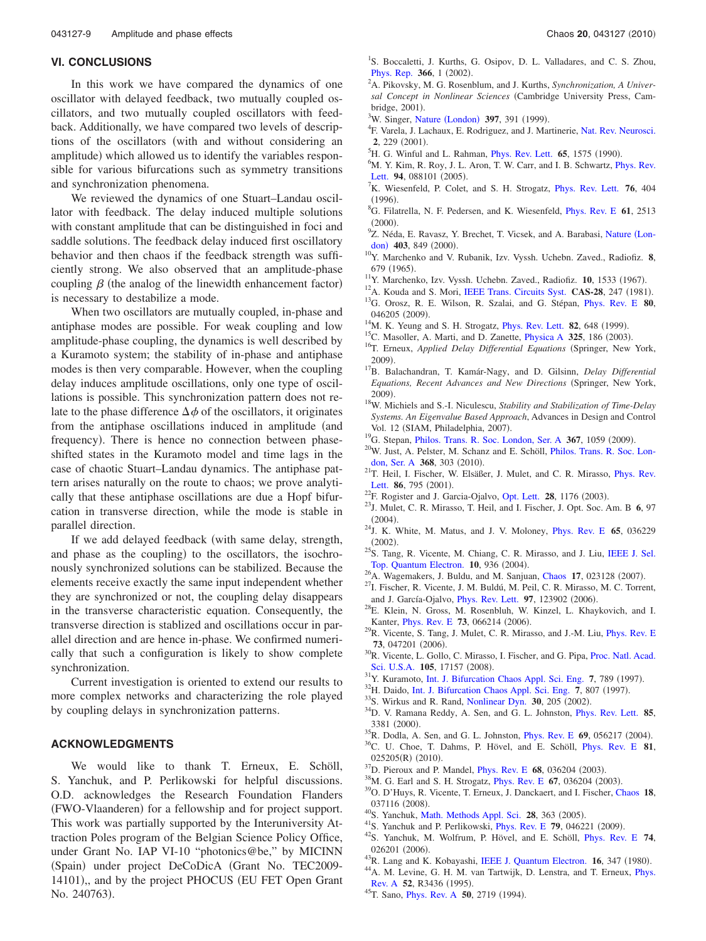#### **VI. CONCLUSIONS**

In this work we have compared the dynamics of one oscillator with delayed feedback, two mutually coupled oscillators, and two mutually coupled oscillators with feedback. Additionally, we have compared two levels of descriptions of the oscillators (with and without considering an amplitude) which allowed us to identify the variables responsible for various bifurcations such as symmetry transitions and synchronization phenomena.

We reviewed the dynamics of one Stuart–Landau oscillator with feedback. The delay induced multiple solutions with constant amplitude that can be distinguished in foci and saddle solutions. The feedback delay induced first oscillatory behavior and then chaos if the feedback strength was sufficiently strong. We also observed that an amplitude-phase coupling  $\beta$  (the analog of the linewidth enhancement factor) is necessary to destabilize a mode.

When two oscillators are mutually coupled, in-phase and antiphase modes are possible. For weak coupling and low amplitude-phase coupling, the dynamics is well described by a Kuramoto system; the stability of in-phase and antiphase modes is then very comparable. However, when the coupling delay induces amplitude oscillations, only one type of oscillations is possible. This synchronization pattern does not relate to the phase difference  $\Delta \phi$  of the oscillators, it originates from the antiphase oscillations induced in amplitude (and frequency). There is hence no connection between phaseshifted states in the Kuramoto model and time lags in the case of chaotic Stuart–Landau dynamics. The antiphase pattern arises naturally on the route to chaos; we prove analytically that these antiphase oscillations are due a Hopf bifurcation in transverse direction, while the mode is stable in parallel direction.

If we add delayed feedback (with same delay, strength, and phase as the coupling) to the oscillators, the isochronously synchronized solutions can be stabilized. Because the elements receive exactly the same input independent whether they are synchronized or not, the coupling delay disappears in the transverse characteristic equation. Consequently, the transverse direction is stablized and oscillations occur in parallel direction and are hence in-phase. We confirmed numerically that such a configuration is likely to show complete synchronization.

Current investigation is oriented to extend our results to more complex networks and characterizing the role played by coupling delays in synchronization patterns.

# **ACKNOWLEDGMENTS**

We would like to thank T. Erneux, E. Schöll, S. Yanchuk, and P. Perlikowski for helpful discussions. O.D. acknowledges the Research Foundation Flanders (FWO-Vlaanderen) for a fellowship and for project support. This work was partially supported by the Interuniversity Attraction Poles program of the Belgian Science Policy Office, under Grant No. IAP VI-10 "photonics@be," by MICINN (Spain) under project DeCoDicA (Grant No. TEC2009-14101),, and by the project PHOCUS (EU FET Open Grant No. 240763).

- <span id="page-8-0"></span><sup>1</sup>S. Boccaletti, J. Kurths, G. Osipov, D. L. Valladares, and C. S. Zhou, **[Phys. Rep.](http://dx.doi.org/10.1016/S0370-1573(02)00137-0) 366,** 1 (2002).
- <span id="page-8-1"></span>A. Pikovsky, M. G. Rosenblum, and J. Kurths, *Synchronization, A Univer*sal Concept in Nonlinear Sciences (Cambridge University Press, Cambridge, 2001).
- <span id="page-8-2"></span><sup>2</sup>W. Singer, Nature ([London](http://dx.doi.org/10.1038/17021)) 397, 391 (1999).<br><sup>4</sup>E Varela J. Lachaux E. Rodriguez, and J. Ma
- <span id="page-8-3"></span>F. Varela, J. Lachaux, E. Rodriguez, and J. Martinerie, [Nat. Rev. Neurosci.](http://dx.doi.org/10.1038/35067550) **2**, 229  $(2001)$ .<br><sup>5</sup>H G Winful s
- <span id="page-8-4"></span><sup>5</sup>H. G. Winful and L. Rahman, *[Phys. Rev. Lett.](http://dx.doi.org/10.1103/PhysRevLett.65.1575)* **65**, 1575 (1990).
- <span id="page-8-5"></span><sup>6</sup>M. Y. Kim, R. Roy, J. L. Aron, T. W. Carr, and I. B. Schwartz, *[Phys. Rev.](http://dx.doi.org/10.1103/PhysRevLett.94.088101)*
- <span id="page-8-6"></span>**[Lett.](http://dx.doi.org/10.1103/PhysRevLett.94.088101) 94,** 088101 (2005).<br><sup>7</sup>K Wiesenfeld P Colet <sup>7</sup>K. Wiesenfeld, P. Colet, and S. H. Strogatz, *[Phys. Rev. Lett.](http://dx.doi.org/10.1103/PhysRevLett.76.404)* **76**, 404  $(1996)$ .
- <span id="page-8-7"></span><sup>1996</sup>. <sup>8</sup> G. Filatrella, N. F. Pedersen, and K. Wiesenfeld, [Phys. Rev. E](http://dx.doi.org/10.1103/PhysRevE.61.2513) **61**, 2513  $^{(2000)}_{97}$  Néd
- <span id="page-8-8"></span>Z. Néda, E. Ravasz, Y. Brechet, T. Vicsek, and A. Barabasi, [Nature](http://dx.doi.org/10.1038/35002660) (Lon- $\gamma$  [don](http://dx.doi.org/10.1038/35002660) **403**, 849 (2000).
- <span id="page-8-9"></span><sup>10</sup>Y. Marchenko and V. Rubanik, Izv. Vyssh. Uchebn. Zaved., Radiofiz. 8, 679 (1965).
- <span id="page-8-10"></span><sup>11</sup>Y. Marchenko, Izv. Vyssh. Uchebn. Zaved., Radiofiz. **10**, 1533 (1967).
- <span id="page-8-12"></span><span id="page-8-11"></span><sup>12</sup>A. Kouda and S. Mori, [IEEE Trans. Circuits Syst.](http://dx.doi.org/10.1109/TCS.1981.1084964) **CAS-28**, 247 (1981). <sup>13</sup>G. Orosz, R. E. Wilson, R. Szalai, and G. Stépan, *[Phys. Rev. E](http://dx.doi.org/10.1103/PhysRevE.80.046205)* 80,
- 046205 (2009).
- <span id="page-8-13"></span> $14$ M. K. Yeung and S. H. Strogatz, *[Phys. Rev. Lett.](http://dx.doi.org/10.1103/PhysRevLett.82.648)* **82**, 648 (1999).
- <span id="page-8-14"></span><sup>15</sup>C. Masoller, A. Marti, and D. Zanette, *[Physica A](http://dx.doi.org/10.1016/S0378-4371(03)00197-3)* **325**, 186 (2003).
- <span id="page-8-15"></span><sup>13</sup>C. Masoller, A. Marti, and D. Zanette, *Physica A* **325**, 186 (2003).<br><sup>16</sup>T. Erneux, *Applied Delay Differential Equations* (Springer, New York,
- <span id="page-8-16"></span><sup>2009</sup>. 17B. Balachandran, T. Kamár-Nagy, and D. Gilsinn, *Delay Differential* Equations, Recent Advances and New Directions (Springer, New York,
- <span id="page-8-17"></span><sup>2009</sup>. 18W. Michiels and S.-I. Niculescu, *Stability and Stabilization of Time-Delay Systems. An Eigenvalue Based Approach*, Advances in Design and Control Vol. 12 (SIAM, Philadelphia, 2007).
- <span id="page-8-18"></span><sup>19</sup>G. Stepan, [Philos. Trans. R. Soc. London, Ser. A](http://dx.doi.org/10.1098/rsta.2008.0279) **367**, 1059 (2009).
- <span id="page-8-19"></span><sup>20</sup>W. Just, A. Pelster, M. Schanz and E. Schöll, [Philos. Trans. R. Soc. Lon](http://dx.doi.org/10.1098/rsta.2009.0243)[don, Ser. A](http://dx.doi.org/10.1098/rsta.2009.0243) 368, 303 (2010).
- <span id="page-8-20"></span><sup>21</sup>T. Heil, I. Fischer, W. Elsäßer, J. Mulet, and C. R. Mirasso, *[Phys. Rev.](http://dx.doi.org/10.1103/PhysRevLett.86.795)* [Lett.](http://dx.doi.org/10.1103/PhysRevLett.86.795) 86, 795 (2001).
- <span id="page-8-21"></span> $22$ F. Rogister and J. Garcia-Ojalvo, [Opt. Lett.](http://dx.doi.org/10.1364/OL.28.001176) **28**, 1176 (2003).
- <span id="page-8-22"></span><sup>23</sup>J. Mulet, C. R. Mirasso, T. Heil, and I. Fischer, J. Opt. Soc. Am. B **6**, 97  $(2004)$ .
- <span id="page-8-23"></span> $24$ J. K. White, M. Matus, and J. V. Moloney, *[Phys. Rev. E](http://dx.doi.org/10.1103/PhysRevE.65.036229)* 65, 036229  $(2002)$ .
- <span id="page-8-24"></span><sup>25</sup>S. Tang, R. Vicente, M. Chiang, C. R. Mirasso, and J. Liu, [IEEE J. Sel.](http://dx.doi.org/10.1109/JSTQE.2004.837013) [Top. Quantum Electron.](http://dx.doi.org/10.1109/JSTQE.2004.837013) **10**, 936 (2004).
- <span id="page-8-25"></span><sup>26</sup>A. Wagemakers, J. Buldu, and M. Sanjuan, [Chaos](http://dx.doi.org/10.1063/1.2737820) 17, 023128 (2007).
- <span id="page-8-26"></span> $^{27}$ I. Fischer, R. Vicente, J. M. Buldú, M. Peil, C. R. Mirasso, M. C. Torrent, and J. García-Ojalvo, *[Phys. Rev. Lett.](http://dx.doi.org/10.1103/PhysRevLett.97.123902)* 97, 123902 (2006).
- <sup>28</sup>E. Klein, N. Gross, M. Rosenbluh, W. Kinzel, L. Khaykovich, and I. Kanter, *[Phys. Rev. E](http://dx.doi.org/10.1103/PhysRevE.73.066214)* 73, 066214 (2006).
- <span id="page-8-27"></span> $^{29}$ R. Vicente, S. Tang, J. Mulet, C. R. Mirasso, and J.-M. Liu, *[Phys. Rev. E](http://dx.doi.org/10.1103/PhysRevE.73.047201)* **73**, 047201 (2006).
- <span id="page-8-28"></span> $30R$ . Vicente, L. Gollo, C. Mirasso, I. Fischer, and G. Pipa, [Proc. Natl. Acad.](http://dx.doi.org/10.1073/pnas.0809353105) [Sci. U.S.A.](http://dx.doi.org/10.1073/pnas.0809353105) 105, 17157 (2008).
- <span id="page-8-29"></span><sup>31</sup>Y. Kuramoto, [Int. J. Bifurcation Chaos Appl. Sci. Eng.](http://dx.doi.org/10.1142/S0218127497000595) 7, 789 (1997).
- <span id="page-8-30"></span><sup>32</sup>H. Daido, [Int. J. Bifurcation Chaos Appl. Sci. Eng.](http://dx.doi.org/10.1142/S0218127497000601) 7, 807 (1997).
- <span id="page-8-31"></span><sup>33</sup>S. Wirkus and R. Rand, [Nonlinear Dyn.](http://dx.doi.org/10.1023/A:1020536525009) **30**, 205 (2002).
- <span id="page-8-32"></span><sup>34</sup>D. V. Ramana Reddy, A. Sen, and G. L. Johnston, *[Phys. Rev. Lett.](http://dx.doi.org/10.1103/PhysRevLett.85.3381)* **85**, 3381 (2000). 2000. 3381 (2000).<br><sup>35</sup>R. Dodla, A. Sen, and G. L. Johnston, [Phys. Rev. E](http://dx.doi.org/10.1103/PhysRevE.69.056217) **69**, 056217 (
- <span id="page-8-34"></span>
- <span id="page-8-33"></span><sup>35</sup>R. Dodla, A. Sen, and G. L. Johnston, [Phys. Rev. E](http://dx.doi.org/10.1103/PhysRevE.81.025205) **69**, 056217 (2004).<br><sup>36</sup>C. U. Choe, T. Dahms, P. Hövel, and E. Schöll, Phys. Rev. E **81**,  $025205(R)$  ( 025205(R) (2010).<br><sup>37</sup>D. Pieroux and P. Mandel, *[Phys. Rev. E](http://dx.doi.org/10.1103/PhysRevE.68.036204)* **68**, 036204 (
- <span id="page-8-35"></span><sup>3/</sup>D. Pieroux and P. Mandel, *[Phys. Rev. E](http://dx.doi.org/10.1103/PhysRevE.67.036204)* **68**, 036204 (2003).<br><sup>38</sup>M. G. Earl and S. H. Strogatz, *Phys. Rev. E* **67**, 036204 (20
- <span id="page-8-37"></span>
- <span id="page-8-36"></span><sup>38</sup>M. G. Earl and S. H. Strogatz, Phys. Rev. E **67**, 036204 (2003).<br><sup>39</sup>O. D'Huys, R. Vicente, T. Erneux, J. Danckaert, and I. Fischer, [Chaos](http://dx.doi.org/10.1063/1.2953582) **18**, 037116 (2008).
- <span id="page-8-38"></span><sup>40</sup>S. Yanchuk, [Math. Methods Appl. Sci.](http://dx.doi.org/10.1002/mma.584) 28, 363 (2005).
- <span id="page-8-39"></span><sup>41</sup>S. Yanchuk and P. Perlikowski, *[Phys. Rev. E](http://dx.doi.org/10.1103/PhysRevE.79.046221)* **79**, 046221 (2009).
- <span id="page-8-40"></span><sup>42</sup>S. Yanchuk, M. Wolfrum, P. Hövel, and E. Schöll, *[Phys. Rev. E](http://dx.doi.org/10.1103/PhysRevE.74.026201)* 74,  $026201(2006)$ .
- <span id="page-8-42"></span><span id="page-8-41"></span><sup>43</sup>R. Lang and K. Kobayashi, [IEEE J. Quantum Electron.](http://dx.doi.org/10.1109/JQE.1980.1070479) **16**, 347 (1980). <sup>44</sup>A. M. Levine, G. H. M. van Tartwijk, D. Lenstra, and T. Erneux, *[Phys.](http://dx.doi.org/10.1103/PhysRevA.52.R3436)*
- <span id="page-8-43"></span>[Rev. A](http://dx.doi.org/10.1103/PhysRevA.52.R3436) 52, R3436 (1995). Rev. A **52**, R3436 (1995).<br><sup>45</sup>T. Sano, [Phys. Rev. A](http://dx.doi.org/10.1103/PhysRevA.50.2719) **50**, 2719 (1994).